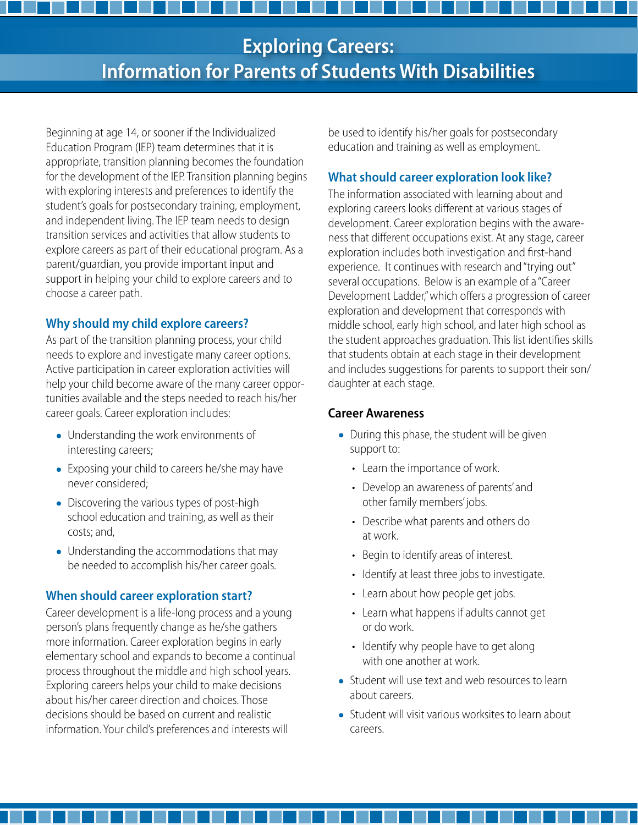# **Exploring Careers: Information for Parents of Students With Disabilities**

Beginning at age 14, or sooner if the Individualized Education Program (IEP) team determines that it is appropriate, transition planning becomes the foundation for the development of the IEP. Transition planning begins with exploring interests and preferences to identify the student's goals for postsecondary training, employment, and independent living. The IEP team needs to design transition services and activities that allow students to explore careers as part of their educational program. As a parent/guardian, you provide important input and support in helping your child to explore careers and to choose a career path.

### **Why should my child explore careers?**

As part of the transition planning process, your child needs to explore and investigate many career options. Active participation in career exploration activities will help your child become aware of the many career opportunities available and the steps needed to reach his/her career goals. Career exploration includes:

- Understanding the work environments of interesting careers;
- Exposing your child to careers he/she may have never considered;
- Discovering the various types of post-high school education and training, as well as their costs; and,
- Understanding the accommodations that may be needed to accomplish his/her career goals.

## **When should career exploration start?**

Career development is a life-long process and a young person's plans frequently change as he/she gathers more information. Career exploration begins in early elementary school and expands to become a continual process throughout the middle and high school years. Exploring careers helps your child to make decisions about his/her career direction and choices. Those decisions should be based on current and realistic information. Your child's preferences and interests will

be used to identify his/her goals for postsecondary education and training as well as employment.

# **What should career exploration look like?**

The information associated with learning about and exploring careers looks different at various stages of development. Career exploration begins with the awareness that different occupations exist. At any stage, career exploration includes both investigation and first-hand experience. It continues with research and "trying out" several occupations. Below is an example of a "Career Development Ladder," which offers a progression of career exploration and development that corresponds with middle school, early high school, and later high school as the student approaches graduation. This list identifies skills that students obtain at each stage in their development and includes suggestions for parents to support their son/ daughter at each stage.

#### **Career Awareness**

- During this phase, the student will be given support to:
	- Learn the importance of work.
	- • Develop an awareness of parents' and other family members' jobs.
	- Describe what parents and others do at work.
	- • Begin to identify areas of interest.
	- Identify at least three jobs to investigate.
	- Learn about how people get jobs.
	- Learn what happens if adults cannot get or do work.
	- Identify why people have to get along with one another at work.
- Student will use text and web resources to learn about careers.
- Student will visit various worksites to learn about careers.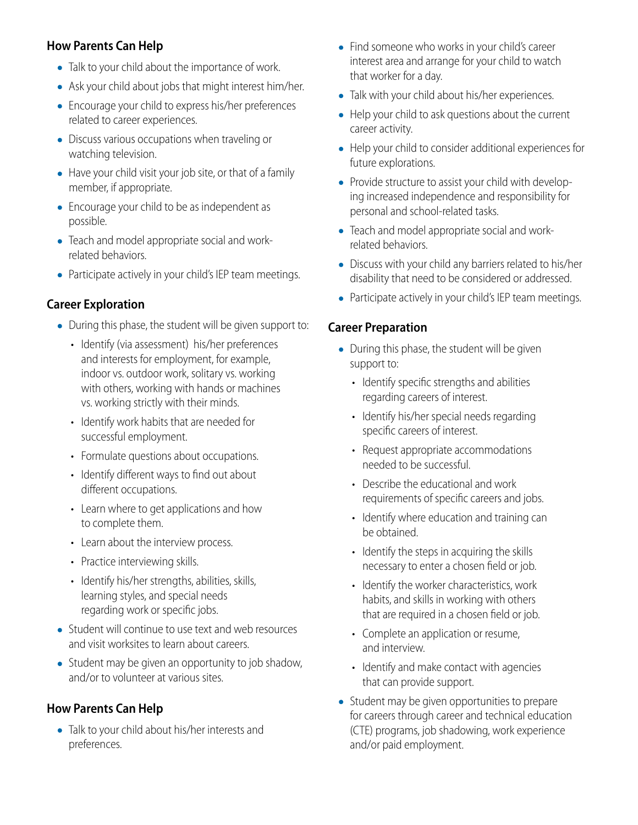# **How Parents Can Help**

- Talk to your child about the importance of work.
- Ask your child about jobs that might interest him/her.
- Encourage your child to express his/her preferences related to career experiences.
- Discuss various occupations when traveling or watching television.
- Have your child visit your job site, or that of a family member, if appropriate.
- Encourage your child to be as independent as possible.
- Teach and model appropriate social and workrelated behaviors.
- Participate actively in your child's IEP team meetings.

## **Career Exploration**

- During this phase, the student will be given support to:
	- Identify (via assessment) his/her preferences and interests for employment, for example, indoor vs. outdoor work, solitary vs. working with others, working with hands or machines vs. working strictly with their minds.
	- Identify work habits that are needed for successful employment.
	- Formulate questions about occupations.
	- Identify different ways to find out about different occupations.
	- Learn where to get applications and how to complete them.
	- Learn about the interview process.
	- Practice interviewing skills.
	- Identify his/her strengths, abilities, skills, learning styles, and special needs regarding work or specific jobs.
- Student will continue to use text and web resources and visit worksites to learn about careers.
- Student may be given an opportunity to job shadow, and/or to volunteer at various sites.

## **How Parents Can Help**

• Talk to your child about his/her interests and preferences.

- Find someone who works in your child's career interest area and arrange for your child to watch that worker for a day.
- Talk with your child about his/her experiences.
- Help your child to ask questions about the current career activity.
- Help your child to consider additional experiences for future explorations.
- Provide structure to assist your child with developing increased independence and responsibility for personal and school-related tasks.
- Teach and model appropriate social and workrelated behaviors.
- Discuss with your child any barriers related to his/her disability that need to be considered or addressed.
- Participate actively in your child's IEP team meetings.

#### **Career Preparation**

- During this phase, the student will be given support to:
	- Identify specific strengths and abilities regarding careers of interest.
	- Identify his/her special needs regarding specific careers of interest.
	- Request appropriate accommodations needed to be successful.
	- Describe the educational and work requirements of specific careers and jobs.
	- Identify where education and training can be obtained.
	- Identify the steps in acquiring the skills necessary to enter a chosen field or job.
	- Identify the worker characteristics, work habits, and skills in working with others that are required in a chosen field or job.
	- Complete an application or resume, and interview.
	- Identify and make contact with agencies that can provide support.
- Student may be given opportunities to prepare for careers through career and technical education (CTE) programs, job shadowing, work experience and/or paid employment.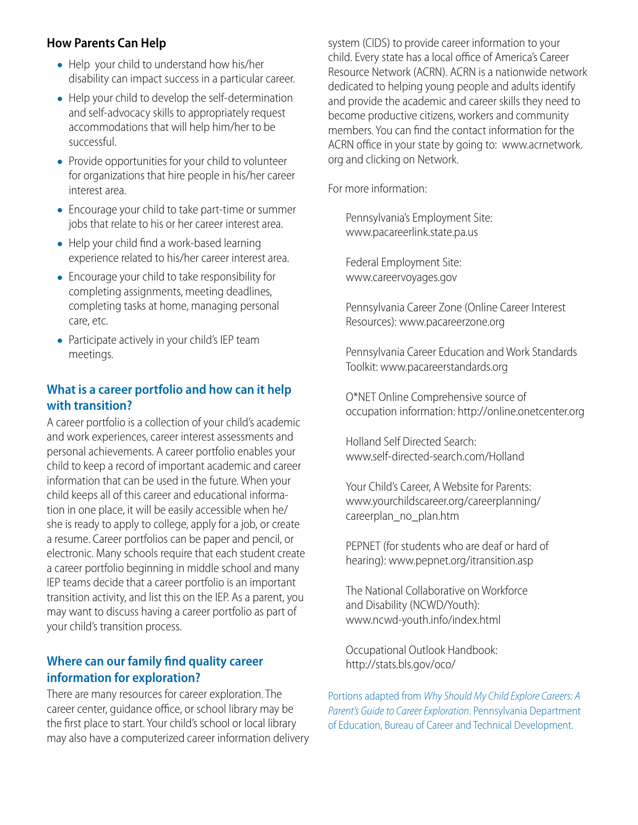### **How Parents Can Help**

- Help your child to understand how his/her disability can impact success in a particular career.
- Help your child to develop the self-determination and self-advocacy skills to appropriately request accommodations that will help him/her to be successful.
- Provide opportunities for your child to volunteer for organizations that hire people in his/her career interest area.
- Encourage your child to take part-time or summer jobs that relate to his or her career interest area.
- Help your child find a work-based learning experience related to his/her career interest area.
- Encourage your child to take responsibility for completing assignments, meeting deadlines, completing tasks at home, managing personal care, etc.
- Participate actively in your child's IEP team meetings.

### **What is a career portfolio and how can it help with transition?**

A career portfolio is a collection of your child's academic and work experiences, career interest assessments and personal achievements. A career portfolio enables your child to keep a record of important academic and career information that can be used in the future. When your child keeps all of this career and educational information in one place, it will be easily accessible when he/ she is ready to apply to college, apply for a job, or create a resume. Career portfolios can be paper and pencil, or electronic. Many schools require that each student create a career portfolio beginning in middle school and many IEP teams decide that a career portfolio is an important transition activity, and list this on the IEP. As a parent, you may want to discuss having a career portfolio as part of your child's transition process.

### **Where can our family find quality career information for exploration?**

There are many resources for career exploration. The career center, guidance office, or school library may be the first place to start. Your child's school or local library may also have a computerized career information delivery system (CIDS) to provide career information to your child. Every state has a local office of America's Career Resource Network (ACRN). ACRN is a nationwide network dedicated to helping young people and adults identify and provide the academic and career skills they need to become productive citizens, workers and community members. You can find the contact information for the ACRN office in your state by going to: www.acrnetwork. org and clicking on Network.

For more information:

Pennsylvania's Employment Site: www.pacareerlink.state.pa.us

Federal Employment Site: www.careervoyages.gov

Pennsylvania Career Zone (Online Career Interest Resources): www.pacareerzone.org

Pennsylvania Career Education and Work Standards Toolkit: www.pacareerstandards.org

O\*NET Online Comprehensive source of occupation information: http://online.onetcenter.org

Holland Self Directed Search: www.self-directed-search.com/Holland

Your Child's Career, A Website for Parents: www.yourchildscareer.org/careerplanning/ careerplan\_no\_plan.htm

PEPNET (for students who are deaf or hard of hearing): www.pepnet.org/itransition.asp

The National Collaborative on Workforce and Disability (NCWD/Youth): www.ncwd-youth.info/index.html

Occupational Outlook Handbook: http://stats.bls.gov/oco/

Portions adapted from *Why Should My Child Explore Careers: A Parent's Guide to Career Exploration*. Pennsylvania Department of Education, Bureau of Career and Technical Development.